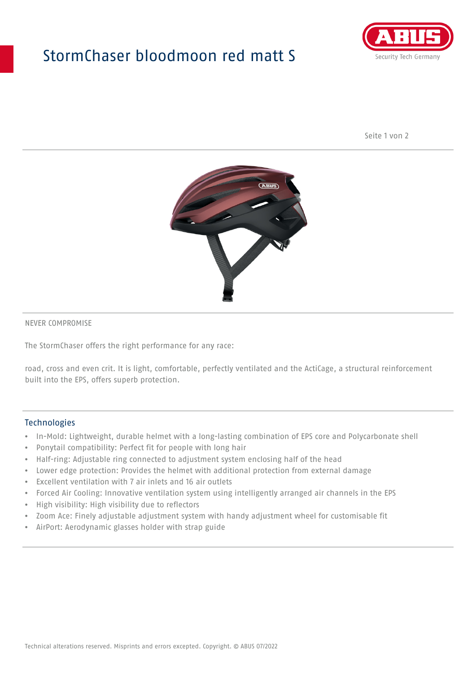## StormChaser bloodmoon red matt S



Seite 1 von 2



#### NEVER COMPROMISE

The StormChaser offers the right performance for any race:

road, cross and even crit. It is light, comfortable, perfectly ventilated and the ActiCage, a structural reinforcement built into the EPS, offers superb protection.

#### **Technologies**

- In-Mold: Lightweight, durable helmet with a long-lasting combination of EPS core and Polycarbonate shell
- Ponytail compatibility: Perfect fit for people with long hair
- Half-ring: Adjustable ring connected to adjustment system enclosing half of the head
- Lower edge protection: Provides the helmet with additional protection from external damage
- Excellent ventilation with 7 air inlets and 16 air outlets
- Forced Air Cooling: Innovative ventilation system using intelligently arranged air channels in the EPS
- High visibility: High visibility due to reflectors
- Zoom Ace: Finely adjustable adjustment system with handy adjustment wheel for customisable fit
- AirPort: Aerodynamic glasses holder with strap guide